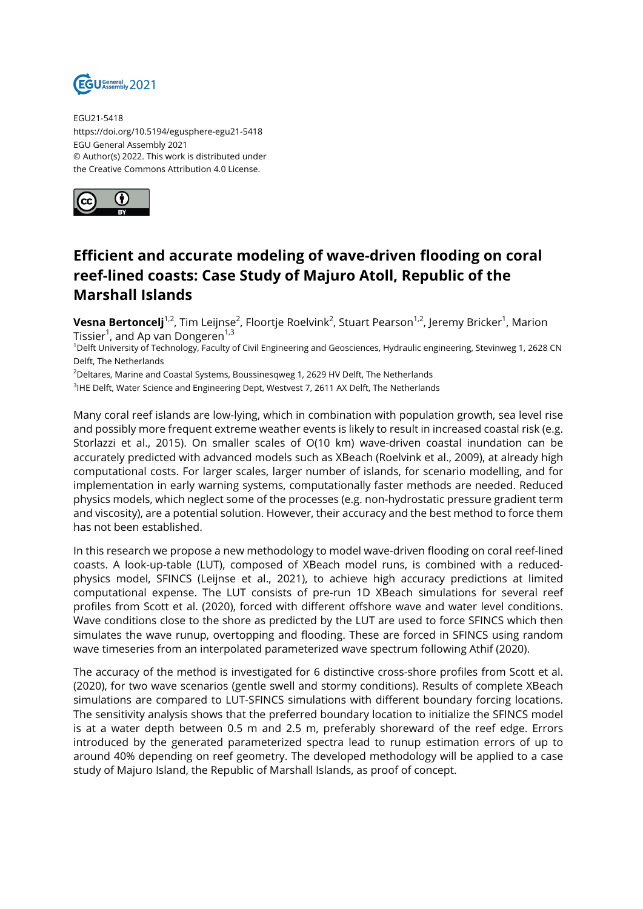

EGU21-5418 https://doi.org/10.5194/egusphere-egu21-5418 EGU General Assembly 2021 © Author(s) 2022. This work is distributed under the Creative Commons Attribution 4.0 License.



## **Efficient and accurate modeling of wave-driven flooding on coral reef-lined coasts: Case Study of Majuro Atoll, Republic of the Marshall Islands**

**Vesna Bertoncelj**<sup>1,2</sup>, Tim Leijnse<sup>2</sup>, Floortje Roelvink<sup>2</sup>, Stuart Pearson<sup>1,2</sup>, Jeremy Bricker<sup>1</sup>, Marion Tissier $^1$ , and Ap van Dongeren $^{1,3}$ 

<sup>1</sup>Delft University of Technology, Faculty of Civil Engineering and Geosciences, Hydraulic engineering, Stevinweg 1, 2628 CN Delft, The Netherlands

<sup>2</sup>Deltares, Marine and Coastal Systems, Boussinesqweg 1, 2629 HV Delft, The Netherlands

 $^3$ IHE Delft, Water Science and Engineering Dept, Westvest 7, 2611 AX Delft, The Netherlands

Many coral reef islands are low-lying, which in combination with population growth, sea level rise and possibly more frequent extreme weather events is likely to result in increased coastal risk (e.g. Storlazzi et al., 2015). On smaller scales of O(10 km) wave-driven coastal inundation can be accurately predicted with advanced models such as XBeach (Roelvink et al., 2009), at already high computational costs. For larger scales, larger number of islands, for scenario modelling, and for implementation in early warning systems, computationally faster methods are needed. Reduced physics models, which neglect some of the processes (e.g. non-hydrostatic pressure gradient term and viscosity), are a potential solution. However, their accuracy and the best method to force them has not been established.

In this research we propose a new methodology to model wave-driven flooding on coral reef-lined coasts. A look-up-table (LUT), composed of XBeach model runs, is combined with a reducedphysics model, SFINCS (Leijnse et al., 2021), to achieve high accuracy predictions at limited computational expense. The LUT consists of pre-run 1D XBeach simulations for several reef profiles from Scott et al. (2020), forced with different offshore wave and water level conditions. Wave conditions close to the shore as predicted by the LUT are used to force SFINCS which then simulates the wave runup, overtopping and flooding. These are forced in SFINCS using random wave timeseries from an interpolated parameterized wave spectrum following Athif (2020).

The accuracy of the method is investigated for 6 distinctive cross-shore profiles from Scott et al. (2020), for two wave scenarios (gentle swell and stormy conditions). Results of complete XBeach simulations are compared to LUT-SFINCS simulations with different boundary forcing locations. The sensitivity analysis shows that the preferred boundary location to initialize the SFINCS model is at a water depth between 0.5 m and 2.5 m, preferably shoreward of the reef edge. Errors introduced by the generated parameterized spectra lead to runup estimation errors of up to around 40% depending on reef geometry. The developed methodology will be applied to a case study of Majuro Island, the Republic of Marshall Islands, as proof of concept.